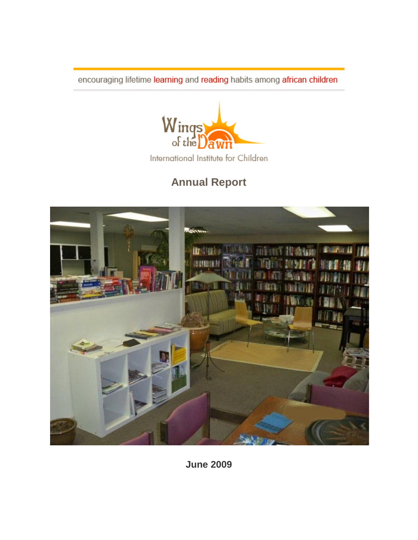encouraging lifetime learning and reading habits among african children



International Institute for Children

# **Annual Report**



**June 2009**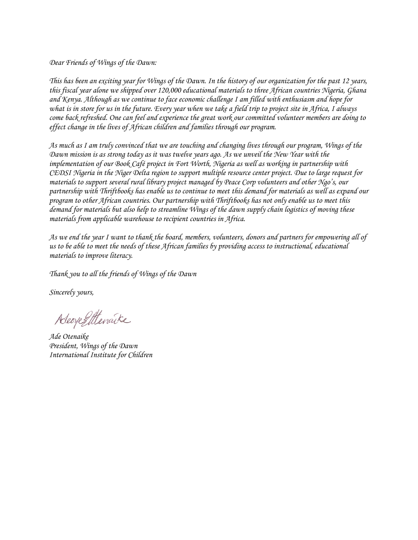*Dear Friends of Wings of the Dawn:*

*This has been an exciting year for Wings of the Dawn. In the history of our organization for the past 12 years, this fiscal year alone we shipped over 120,000 educational materials to three African countries Nigeria, Ghana and Kenya. Although as we continue to face economic challenge I am filled with enthusiasm and hope for what is in store for us in the future. Every year when we take a field trip to project site in Africa, I always come back refreshed. One can feel and experience the great work our committed volunteer members are doing to effect change in the lives of African children and families through our program.* 

*As much as I am truly convinced that we are touching and changing lives through our program, Wings of the Dawn mission is as strong today as it was twelve years ago. As we unveil the New Year with the implementation of our Book Café project in Fort Worth, Nigeria as well as working in partnership with CEDSI Nigeria in the Niger Delta region to support multiple resource center project. Due to large request for materials to support several rural library project managed by Peace Corp volunteers and other Ngo's, our partnership with Thriftbooks has enable us to continue to meet this demand for materials as well as expand our program to other African countries. Our partnership with Thriftbooks has not only enable us to meet this demand for materials but also help to streamline Wings of the dawn supply chain logistics of moving these materials from applicable warehouse to recipient countries in Africa.*

*As we end the year I want to thank the board, members, volunteers, donors and partners for empowering all of us to be able to meet the needs of these African families by providing access to instructional, educational materials to improve literacy.* 

*Thank you to all the friends of Wings of the Dawn*

*Sincerely yours,*

Adeoye Stenaike

*Ade Otenaike President, Wings of the Dawn International Institute for Children*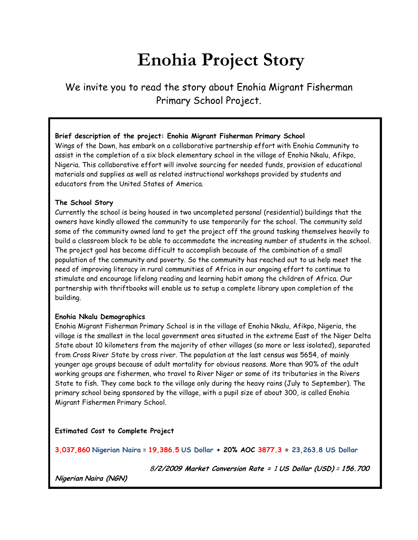# **Enohia Project Story**

We invite you to read the story about Enohia Migrant Fisherman Primary School Project.

#### **Brief description of the project: Enohia Migrant Fisherman Primary School**

Wings of the Dawn, has embark on a collaborative partnership effort with Enohia Community to assist in the completion of a six block elementary school in the village of Enohia Nkalu, Afikpo, Nigeria. This collaborative effort will involve sourcing for needed funds, provision of educational materials and supplies as well as related instructional workshops provided by students and educators from the United States of America.

#### **The School Story**

Currently the school is being housed in two uncompleted personal (residential) buildings that the owners have kindly allowed the community to use temporarily for the school. The community sold some of the community owned land to get the project off the ground tasking themselves heavily to build a classroom block to be able to accommodate the increasing number of students in the school. The project goal has become difficult to accomplish because of the combination of a small population of the community and poverty. So the community has reached out to us help meet the need of improving literacy in rural communities of Africa in our ongoing effort to continue to stimulate and encourage lifelong reading and learning habit among the children of Africa. Our partnership with thriftbooks will enable us to setup a complete library upon completion of the building.

#### **Enohia Nkalu Demographics**

Enohia Migrant Fisherman Primary School is in the village of Enohia Nkalu, Afikpo, Nigeria, the village is the smallest in the local government area situated in the extreme East of the Niger Delta State about 10 kilometers from the majority of other villages (so more or less isolated), separated from Cross River State by cross river. The population at the last census was 5654, of mainly younger age groups because of adult mortality for obvious reasons. More than 90% of the adult working groups are fishermen, who travel to River Niger or some of its tributaries in the Rivers State to fish. They come back to the village only during the heavy rains (July to September). The primary school being sponsored by the village, with a pupil size of about 300, is called Enohia Migrant Fishermen Primary School.

#### **Estimated Cost to Complete Project**

**3,037,860 Nigerian Naira** = **19,386.5 US Dollar + 20% AOC 3877.3 = 23,263.8 US Dollar** 

8**/2/2009 Market Conversion Rate =** 1 **US Dollar (USD)** <sup>=</sup>**156.700**

**Nigerian Naira (NGN)**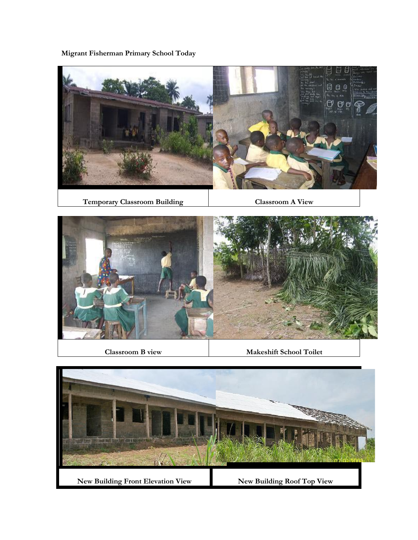**Migrant Fisherman Primary School Today**



**Temporary Classroom Building Classroom A View**



**Classroom B view Makeshift School Toilet** 

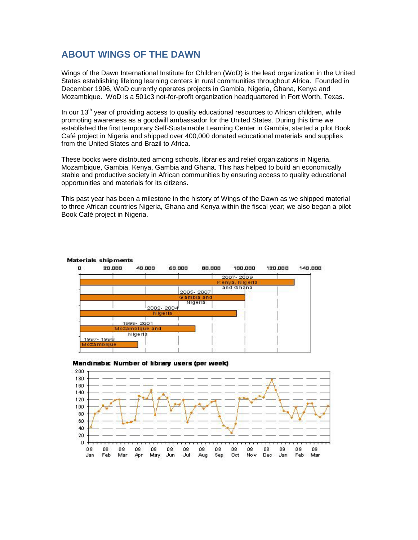# **ABOUT WINGS OF THE DAWN**

Wings of the Dawn International Institute for Children (WoD) is the lead organization in the United States establishing lifelong learning centers in rural communities throughout Africa. Founded in December 1996, WoD currently operates projects in Gambia, Nigeria, Ghana, Kenya and Mozambique. WoD is a 501c3 not-for-profit organization headquartered in Fort Worth, Texas.

In our  $13<sup>th</sup>$  year of providing access to quality educational resources to African children, while promoting awareness as a goodwill ambassador for the United States. During this time we established the first temporary Self-Sustainable Learning Center in Gambia, started a pilot Book Café project in Nigeria and shipped over 400,000 donated educational materials and supplies from the United States and Brazil to Africa.

These books were distributed among schools, libraries and relief organizations in Nigeria, Mozambique, Gambia, Kenya, Gambia and Ghana. This has helped to build an economically stable and productive society in African communities by ensuring access to quality educational opportunities and materials for its citizens.

This past year has been a milestone in the history of Wings of the Dawn as we shipped material to three African countries Nigeria, Ghana and Kenya within the fiscal year; we also began a pilot Book Café project in Nigeria.





#### Mandinaba: Number of library users (per week)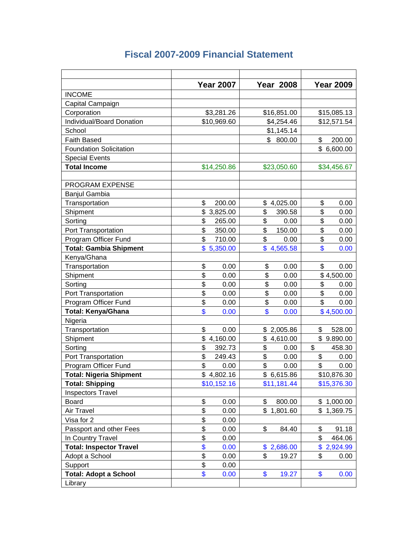|                                | <b>Year 2007</b>                | <b>Year 2008</b> | <b>Year 2009</b> |
|--------------------------------|---------------------------------|------------------|------------------|
| <b>INCOME</b>                  |                                 |                  |                  |
| Capital Campaign               |                                 |                  |                  |
| Corporation                    | \$3,281.26                      | \$16,851.00      | \$15,085.13      |
| Individual/Board Donation      | \$10,969.60                     | \$4,254.46       | \$12,571.54      |
| School                         |                                 | \$1,145.14       |                  |
| <b>Faith Based</b>             |                                 | \$<br>800.00     | \$<br>200.00     |
| <b>Foundation Solicitation</b> |                                 |                  | \$6,600.00       |
| <b>Special Events</b>          |                                 |                  |                  |
| <b>Total Income</b>            | \$14,250.86                     | \$23,050.60      | \$34,456.67      |
|                                |                                 |                  |                  |
| <b>PROGRAM EXPENSE</b>         |                                 |                  |                  |
| <b>Banjul Gambia</b>           |                                 |                  |                  |
| Transportation                 | \$<br>200.00                    | \$<br>4,025.00   | \$<br>0.00       |
| Shipment                       | \$<br>3,825.00                  | \$<br>390.58     | \$<br>0.00       |
| Sorting                        | \$<br>265.00                    | \$<br>0.00       | \$<br>0.00       |
| Port Transportation            | \$<br>350.00                    | \$<br>150.00     | \$<br>0.00       |
| Program Officer Fund           | \$<br>710.00                    | \$<br>0.00       | \$<br>0.00       |
| <b>Total: Gambia Shipment</b>  | \$<br>5,350.00                  | \$<br>4,565.58   | \$<br>0.00       |
| Kenya/Ghana                    |                                 |                  |                  |
| Transportation                 | \$<br>0.00                      | \$<br>0.00       | \$<br>0.00       |
| Shipment                       | \$<br>0.00                      | \$<br>0.00       | \$4,500.00       |
| Sorting                        | \$<br>0.00                      | \$<br>0.00       | \$<br>0.00       |
| Port Transportation            | \$<br>0.00                      | \$<br>0.00       | \$<br>0.00       |
| Program Officer Fund           | \$<br>0.00                      | \$<br>0.00       | \$<br>0.00       |
| <b>Total: Kenya/Ghana</b>      | \$<br>0.00                      | \$<br>0.00       | \$4,500.00       |
| Nigeria                        |                                 |                  |                  |
| Transportation                 | \$<br>0.00                      | \$2,005.86       | \$<br>528.00     |
| Shipment                       | \$<br>4,160.00                  | \$<br>4,610.00   | \$9.890.00       |
| Sorting                        | \$<br>392.73                    | \$<br>0.00       | \$<br>458.30     |
| Port Transportation            | \$<br>249.43                    | \$<br>0.00       | \$<br>0.00       |
| Program Officer Fund           | \$<br>0.00                      | \$<br>0.00       | \$<br>0.00       |
| <b>Total: Nigeria Shipment</b> | \$4,802.16                      | \$6,615.86       | \$10,876.30      |
| <b>Total: Shipping</b>         | \$10,152.16                     | \$11,181.44      | \$15,376.30      |
| <b>Inspectors Travel</b>       |                                 |                  |                  |
| <b>Board</b>                   | \$<br>0.00                      | 800.00<br>\$     | \$1,000.00       |
| Air Travel                     | \$<br>0.00                      | \$1,801.60       | \$1,369.75       |
| Visa for 2                     | \$<br>0.00                      |                  |                  |
| Passport and other Fees        | \$<br>0.00                      | \$<br>84.40      | \$<br>91.18      |
| In Country Travel              | $\overline{\mathbf{S}}$<br>0.00 |                  | \$<br>464.06     |
| <b>Total: Inspector Travel</b> | \$<br>0.00                      | \$2,686.00       | \$2,924.99       |
| Adopt a School                 | \$<br>0.00                      | \$<br>19.27      | \$<br>0.00       |
| Support                        | \$<br>0.00                      |                  |                  |
| <b>Total: Adopt a School</b>   | \$<br>0.00                      | \$<br>19.27      | \$<br>0.00       |
| Library                        |                                 |                  |                  |

# **Fiscal 2007-2009 Financial Statement**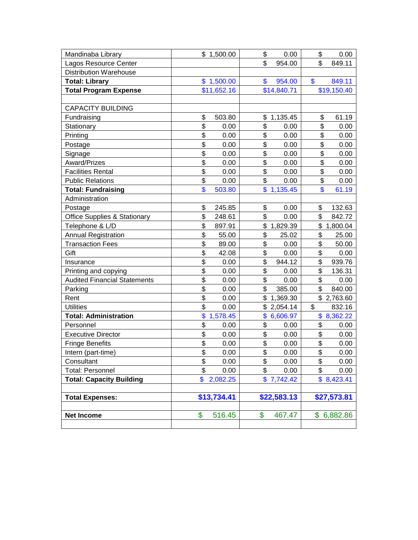|                                                       |          |              |          | 0.00           | \$<br>0.00     |
|-------------------------------------------------------|----------|--------------|----------|----------------|----------------|
| Mandinaba Library                                     |          | \$1,500.00   | \$<br>\$ | 954.00         | \$<br>849.11   |
| Lagos Resource Center                                 |          |              |          |                |                |
| <b>Distribution Warehouse</b>                         |          |              |          |                | \$             |
| <b>Total: Library</b><br><b>Total Program Expense</b> |          | \$1,500.00   | \$       | 954.00         | 849.11         |
|                                                       |          | \$11,652.16  |          | \$14,840.71    | \$19,150.40    |
| <b>CAPACITY BUILDING</b>                              |          |              |          |                |                |
| Fundraising                                           | \$       | 503.80       | \$       | 1,135.45       | \$<br>61.19    |
| Stationary                                            | \$       | 0.00         | \$       | 0.00           | \$<br>0.00     |
| Printing                                              | \$       | 0.00         | \$       | 0.00           | \$<br>0.00     |
| Postage                                               | \$       | 0.00         | \$       | 0.00           | \$<br>0.00     |
| Signage                                               | \$       | 0.00         | \$       | 0.00           | \$<br>0.00     |
| Award/Prizes                                          | \$       | 0.00         | \$       | 0.00           | \$<br>0.00     |
| <b>Facilities Rental</b>                              | \$       | 0.00         | \$       | 0.00           | \$<br>0.00     |
| <b>Public Relations</b>                               | \$       | 0.00         | \$       | 0.00           | \$<br>0.00     |
| <b>Total: Fundraising</b>                             | \$       | 503.80       |          | \$1,135.45     | \$<br>61.19    |
| Administration                                        |          |              |          |                |                |
| Postage                                               | \$       | 245.85       | \$       | 0.00           | \$<br>132.63   |
| <b>Office Supplies &amp; Stationary</b>               | \$       | 248.61       | \$       | 0.00           | \$<br>842.72   |
| Telephone & L/D                                       | \$       | 897.91       | \$       | 1,829.39       | \$<br>1,800.04 |
|                                                       | \$       | 55.00        | \$       | 25.02          | \$<br>25.00    |
| <b>Annual Registration</b><br><b>Transaction Fees</b> | \$       | 89.00        | \$       | 0.00           | \$<br>50.00    |
|                                                       | \$       |              | \$       |                | \$             |
| Gift                                                  | \$       | 42.08        | \$       | 0.00<br>944.12 | \$<br>0.00     |
| Insurance                                             | \$       | 0.00<br>0.00 | \$       | 0.00           | \$<br>939.76   |
| Printing and copying                                  | \$       |              | \$       |                | \$<br>136.31   |
| <b>Audited Financial Statements</b>                   | \$       | 0.00         | \$       | 0.00           | \$<br>0.00     |
| Parking                                               |          | 0.00         |          | 385.00         | 840.00         |
| Rent                                                  | \$<br>\$ | 0.00         | \$       | 1,369.30       | \$2,763.60     |
| <b>Utilities</b>                                      |          | 0.00         | \$       | 2,054.14       | \$<br>832.16   |
| <b>Total: Administration</b>                          | \$       | 1,578.45     | \$       | 6,606.97       | \$8,362.22     |
| Personnel                                             | \$       | 0.00         | \$       | 0.00           | \$<br>0.00     |
| <b>Executive Director</b>                             | \$       | 0.00         | \$       | 0.00           | \$<br>0.00     |
| <b>Fringe Benefits</b>                                | \$       | 0.00         | \$       | 0.00           | \$<br>0.00     |
| Intern (part-time)                                    | \$       | 0.00         | \$       | 0.00           | \$<br>0.00     |
| Consultant                                            | \$       | 0.00         | \$       | 0.00           | \$<br>0.00     |
| <b>Total: Personnel</b>                               | \$       | 0.00         | \$       | 0.00           | \$<br>0.00     |
| <b>Total: Capacity Building</b>                       | \$       | 2,082.25     |          | \$7,742.42     | \$8,423.41     |
|                                                       |          |              |          |                |                |
| <b>Total Expenses:</b>                                |          | \$13,734.41  |          | \$22,583.13    | \$27,573.81    |
|                                                       | \$       |              | \$       | 467.47         |                |
| <b>Net Income</b>                                     |          | 516.45       |          |                | \$6,882.86     |
|                                                       |          |              |          |                |                |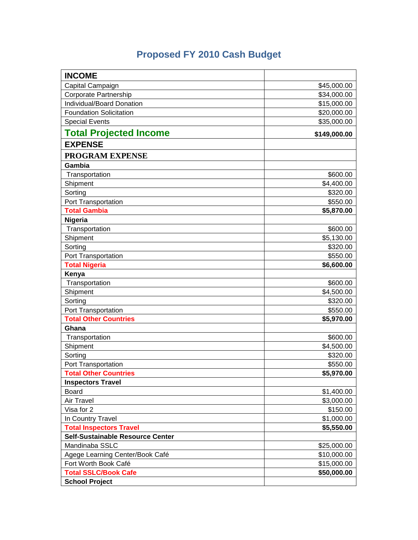# **Proposed FY 2010 Cash Budget**

| <b>INCOME</b>                    |              |
|----------------------------------|--------------|
| Capital Campaign                 | \$45,000.00  |
| Corporate Partnership            | \$34,000.00  |
| Individual/Board Donation        | \$15,000.00  |
| <b>Foundation Solicitation</b>   | \$20,000.00  |
| <b>Special Events</b>            | \$35,000.00  |
| <b>Total Projected Income</b>    | \$149,000.00 |
| <b>EXPENSE</b>                   |              |
| <b>PROGRAM EXPENSE</b>           |              |
| Gambia                           |              |
| Transportation                   | \$600.00     |
| Shipment                         | \$4,400.00   |
| Sorting                          | \$320.00     |
| Port Transportation              | \$550.00     |
| <b>Total Gambia</b>              | \$5,870.00   |
| Nigeria                          |              |
| Transportation                   | \$600.00     |
| Shipment                         | \$5,130.00   |
| Sorting                          | \$320.00     |
| Port Transportation              | \$550.00     |
| <b>Total Nigeria</b>             | \$6,600.00   |
| Kenya                            |              |
| Transportation                   | \$600.00     |
| Shipment                         | \$4,500.00   |
| Sorting                          | \$320.00     |
| Port Transportation              | \$550.00     |
| <b>Total Other Countries</b>     | \$5,970.00   |
| Ghana                            |              |
| Transportation                   | \$600.00     |
| Shipment                         | \$4,500.00   |
| Sorting                          | \$320.00     |
| Port Transportation              | \$550.00     |
| <b>Total Other Countries</b>     | \$5,970.00   |
| <b>Inspectors Travel</b>         |              |
| Board                            | \$1,400.00   |
| Air Travel                       | \$3,000.00   |
| Visa for 2                       | \$150.00     |
| In Country Travel                | \$1,000.00   |
| <b>Total Inspectors Travel</b>   | \$5,550.00   |
| Self-Sustainable Resource Center |              |
| Mandinaba SSLC                   | \$25,000.00  |
| Agege Learning Center/Book Café  | \$10,000.00  |
| Fort Worth Book Café             | \$15,000.00  |
| <b>Total SSLC/Book Cafe</b>      | \$50,000.00  |
| <b>School Project</b>            |              |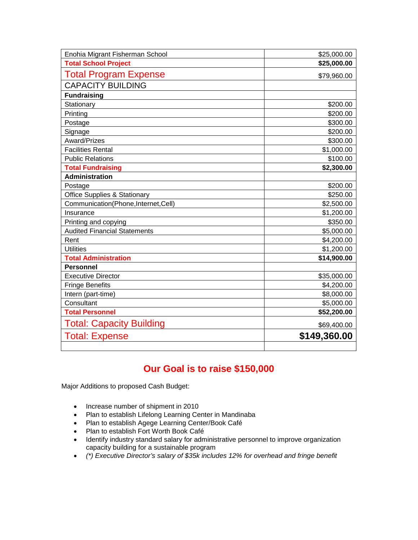| Enohia Migrant Fisherman School         | \$25,000.00  |  |  |  |
|-----------------------------------------|--------------|--|--|--|
| <b>Total School Project</b>             | \$25,000.00  |  |  |  |
| <b>Total Program Expense</b>            | \$79,960.00  |  |  |  |
| <b>CAPACITY BUILDING</b>                |              |  |  |  |
| <b>Fundraising</b>                      |              |  |  |  |
| Stationary                              | \$200.00     |  |  |  |
| Printing                                | \$200.00     |  |  |  |
| Postage                                 | \$300.00     |  |  |  |
| Signage                                 | \$200.00     |  |  |  |
| Award/Prizes                            | \$300.00     |  |  |  |
| <b>Facilities Rental</b>                | \$1,000.00   |  |  |  |
| <b>Public Relations</b>                 | \$100.00     |  |  |  |
| <b>Total Fundraising</b>                | \$2,300.00   |  |  |  |
| <b>Administration</b>                   |              |  |  |  |
| Postage                                 | \$200.00     |  |  |  |
| <b>Office Supplies &amp; Stationary</b> | \$250.00     |  |  |  |
| Communication(Phone,Internet,Cell)      | \$2,500.00   |  |  |  |
| Insurance                               | \$1,200.00   |  |  |  |
| Printing and copying                    | \$350.00     |  |  |  |
| <b>Audited Financial Statements</b>     | \$5,000.00   |  |  |  |
| Rent                                    | \$4,200.00   |  |  |  |
| <b>Utilities</b>                        | \$1,200.00   |  |  |  |
| <b>Total Administration</b>             | \$14,900.00  |  |  |  |
| <b>Personnel</b>                        |              |  |  |  |
| <b>Executive Director</b>               | \$35,000.00  |  |  |  |
| <b>Fringe Benefits</b>                  | \$4,200.00   |  |  |  |
| Intern (part-time)                      | \$8,000.00   |  |  |  |
| Consultant                              | \$5,000.00   |  |  |  |
| <b>Total Personnel</b>                  | \$52,200.00  |  |  |  |
| <b>Total: Capacity Building</b>         | \$69,400.00  |  |  |  |
| <b>Total: Expense</b>                   | \$149,360.00 |  |  |  |
|                                         |              |  |  |  |

# **Our Goal is to raise \$150,000**

Major Additions to proposed Cash Budget:

- Increase number of shipment in 2010
- Plan to establish Lifelong Learning Center in Mandinaba
- Plan to establish Agege Learning Center/Book Café
- Plan to establish Fort Worth Book Café
- Identify industry standard salary for administrative personnel to improve organization capacity building for a sustainable program
- *(\*) Executive Director's salary of \$35k includes 12% for overhead and fringe benefit*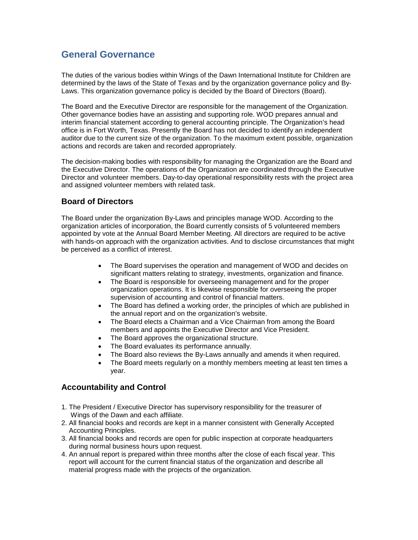# **General Governance**

The duties of the various bodies within Wings of the Dawn International Institute for Children are determined by the laws of the State of Texas and by the organization governance policy and By-Laws. This organization governance policy is decided by the Board of Directors (Board).

The Board and the Executive Director are responsible for the management of the Organization. Other governance bodies have an assisting and supporting role. WOD prepares annual and interim financial statement according to general accounting principle. The Organization's head office is in Fort Worth, Texas. Presently the Board has not decided to identify an independent auditor due to the current size of the organization. To the maximum extent possible, organization actions and records are taken and recorded appropriately.

The decision-making bodies with responsibility for managing the Organization are the Board and the Executive Director. The operations of the Organization are coordinated through the Executive Director and volunteer members. Day-to-day operational responsibility rests with the project area and assigned volunteer members with related task.

### **Board of Directors**

The Board under the organization By-Laws and principles manage WOD. According to the organization articles of incorporation, the Board currently consists of 5 volunteered members appointed by vote at the Annual Board Member Meeting. All directors are required to be active with hands-on approach with the organization activities. And to disclose circumstances that might be perceived as a conflict of interest.

- The Board supervises the operation and management of WOD and decides on significant matters relating to strategy, investments, organization and finance.
- The Board is responsible for overseeing management and for the proper organization operations. It is likewise responsible for overseeing the proper supervision of accounting and control of financial matters.
- The Board has defined a working order, the principles of which are published in the annual report and on the organization's website.
- The Board elects a Chairman and a Vice Chairman from among the Board members and appoints the Executive Director and Vice President.
- The Board approves the organizational structure.
- The Board evaluates its performance annually.
- The Board also reviews the By-Laws annually and amends it when required.
- The Board meets regularly on a monthly members meeting at least ten times a year.

### **Accountability and Control**

- 1. The President / Executive Director has supervisory responsibility for the treasurer of Wings of the Dawn and each affiliate.
- 2. All financial books and records are kept in a manner consistent with Generally Accepted Accounting Principles.
- 3. All financial books and records are open for public inspection at corporate headquarters during normal business hours upon request.
- 4. An annual report is prepared within three months after the close of each fiscal year. This report will account for the current financial status of the organization and describe all material progress made with the projects of the organization.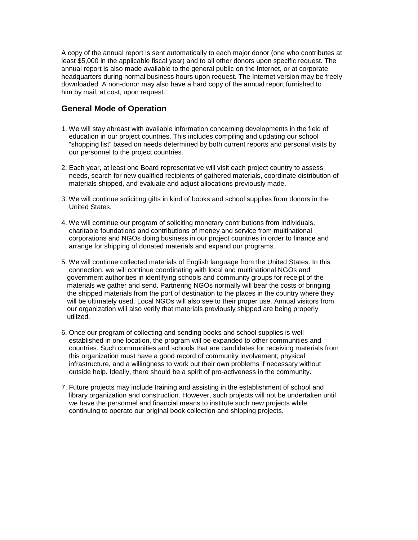A copy of the annual report is sent automatically to each major donor (one who contributes at least \$5,000 in the applicable fiscal year) and to all other donors upon specific request. The annual report is also made available to the general public on the Internet, or at corporate headquarters during normal business hours upon request. The Internet version may be freely downloaded. A non-donor may also have a hard copy of the annual report furnished to him by mail, at cost, upon request.

### **General Mode of Operation**

- 1. We will stay abreast with available information concerning developments in the field of education in our project countries. This includes compiling and updating our school "shopping list" based on needs determined by both current reports and personal visits by our personnel to the project countries.
- 2. Each year, at least one Board representative will visit each project country to assess needs, search for new qualified recipients of gathered materials, coordinate distribution of materials shipped, and evaluate and adjust allocations previously made.
- 3. We will continue soliciting gifts in kind of books and school supplies from donors in the United States.
- 4. We will continue our program of soliciting monetary contributions from individuals, charitable foundations and contributions of money and service from multinational corporations and NGOs doing business in our project countries in order to finance and arrange for shipping of donated materials and expand our programs.
- 5. We will continue collected materials of English language from the United States. In this connection, we will continue coordinating with local and multinational NGOs and government authorities in identifying schools and community groups for receipt of the materials we gather and send. Partnering NGOs normally will bear the costs of bringing the shipped materials from the port of destination to the places in the country where they will be ultimately used. Local NGOs will also see to their proper use. Annual visitors from our organization will also verify that materials previously shipped are being properly utilized.
- 6. Once our program of collecting and sending books and school supplies is well established in one location, the program will be expanded to other communities and countries. Such communities and schools that are candidates for receiving materials from this organization must have a good record of community involvement, physical infrastructure, and a willingness to work out their own problems if necessary without outside help. Ideally, there should be a spirit of pro-activeness in the community.
- 7. Future projects may include training and assisting in the establishment of school and library organization and construction. However, such projects will not be undertaken until we have the personnel and financial means to institute such new projects while continuing to operate our original book collection and shipping projects.